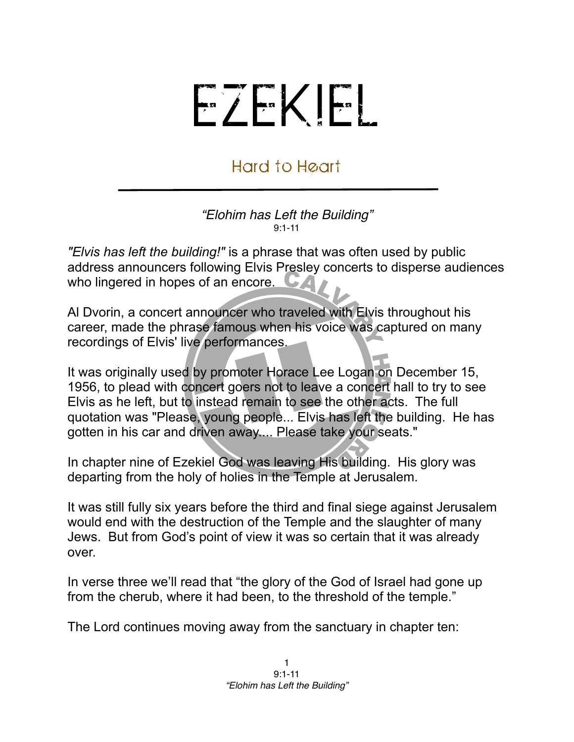## EZEKIEL

## Hard to Heart

## *"Elohim has Left the Building"* 9:1-11

*"Elvis has left the building!"* is a phrase that was often used by public address announcers following [Elvis Presley](http://en.wikipedia.org/wiki/Elvis_Presley) concerts to disperse audiences who lingered in hopes of an encore.

[Al Dvorin,](http://en.wikipedia.org/wiki/Al_Dvorin) a concert announcer who traveled with Elvis throughout his career, made the phrase famous when his voice was captured on many recordings of Elvis' live performances.

It was originally used by promoter [Horace Lee Logan](http://en.wikipedia.org/w/index.php?title=Horace_Lee_Logan&action=edit&redlink=1) on [December 15](http://en.wikipedia.org/wiki/December_15), [1956](http://en.wikipedia.org/wiki/1956), to plead with concert goers not to leave a concert hall to try to see Elvis as he left, but to instead remain to see the other acts. The full quotation was "Please, young people... Elvis has left the building. He has gotten in his car and driven away.... Please take your seats."

In chapter nine of Ezekiel God was leaving His building. His glory was departing from the holy of holies in the Temple at Jerusalem.

It was still fully six years before the third and final siege against Jerusalem would end with the destruction of the Temple and the slaughter of many Jews. But from God's point of view it was so certain that it was already over.

In verse three we'll read that "the glory of the God of Israel had gone up from the cherub, where it had been, to the threshold of the temple."

The Lord continues moving away from the sanctuary in chapter ten: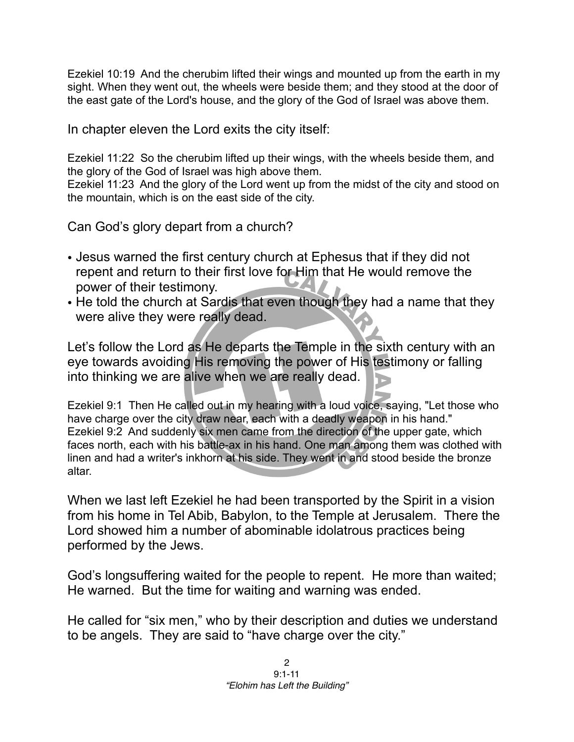Ezekiel 10:19 And the cherubim lifted their wings and mounted up from the earth in my sight. When they went out, the wheels were beside them; and they stood at the door of the east gate of the Lord's house, and the glory of the God of Israel was above them.

In chapter eleven the Lord exits the city itself:

Ezekiel 11:22 So the cherubim lifted up their wings, with the wheels beside them, and the glory of the God of Israel was high above them.

Ezekiel 11:23 And the glory of the Lord went up from the midst of the city and stood on the mountain, which is on the east side of the city.

Can God's glory depart from a church?

- Jesus warned the first century church at Ephesus that if they did not repent and return to their first love for Him that He would remove the power of their testimony.
- He told the church at Sardis that even though they had a name that they were alive they were really dead.

Let's follow the Lord as He departs the Temple in the sixth century with an eye towards avoiding His removing the power of His testimony or falling into thinking we are alive when we are really dead.

Ezekiel 9:1 Then He called out in my hearing with a loud voice, saying, "Let those who have charge over the city draw near, each with a deadly weapon in his hand." Ezekiel 9:2 And suddenly six men came from the direction of the upper gate, which faces north, each with his battle-ax in his hand. One man among them was clothed with linen and had a writer's inkhorn at his side. They went in and stood beside the bronze altar.

When we last left Ezekiel he had been transported by the Spirit in a vision from his home in Tel Abib, Babylon, to the Temple at Jerusalem. There the Lord showed him a number of abominable idolatrous practices being performed by the Jews.

God's longsuffering waited for the people to repent. He more than waited; He warned. But the time for waiting and warning was ended.

He called for "six men," who by their description and duties we understand to be angels. They are said to "have charge over the city."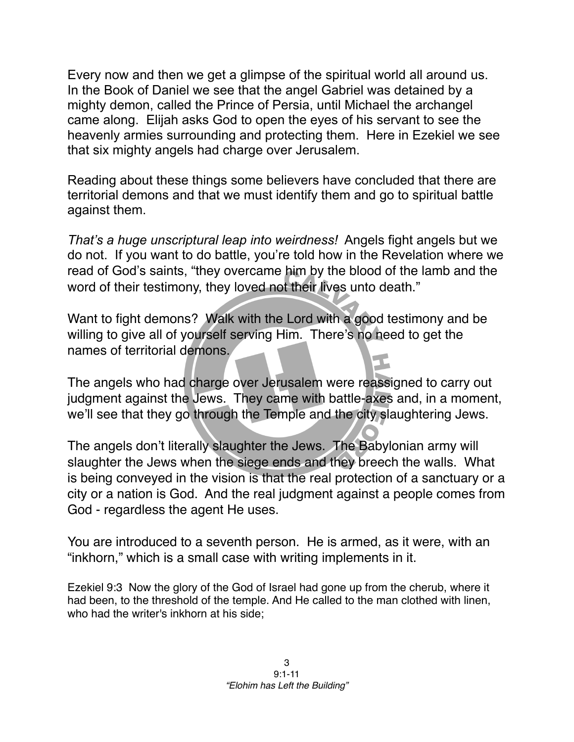Every now and then we get a glimpse of the spiritual world all around us. In the Book of Daniel we see that the angel Gabriel was detained by a mighty demon, called the Prince of Persia, until Michael the archangel came along. Elijah asks God to open the eyes of his servant to see the heavenly armies surrounding and protecting them. Here in Ezekiel we see that six mighty angels had charge over Jerusalem.

Reading about these things some believers have concluded that there are territorial demons and that we must identify them and go to spiritual battle against them.

*That's a huge unscriptural leap into weirdness!* Angels fight angels but we do not. If you want to do battle, you're told how in the Revelation where we read of God's saints, "they overcame him by the blood of the lamb and the word of their testimony, they loved not their lives unto death."

Want to fight demons? Walk with the Lord with a good testimony and be willing to give all of yourself serving Him. There's no need to get the names of territorial demons.

The angels who had charge over Jerusalem were reassigned to carry out judgment against the Jews. They came with battle-axes and, in a moment, we'll see that they go through the Temple and the city slaughtering Jews.

The angels don't literally slaughter the Jews. The Babylonian army will slaughter the Jews when the siege ends and they breech the walls. What is being conveyed in the vision is that the real protection of a sanctuary or a city or a nation is God. And the real judgment against a people comes from God - regardless the agent He uses.

You are introduced to a seventh person. He is armed, as it were, with an "inkhorn," which is a small case with writing implements in it.

Ezekiel 9:3 Now the glory of the God of Israel had gone up from the cherub, where it had been, to the threshold of the temple. And He called to the man clothed with linen, who had the writer's inkhorn at his side;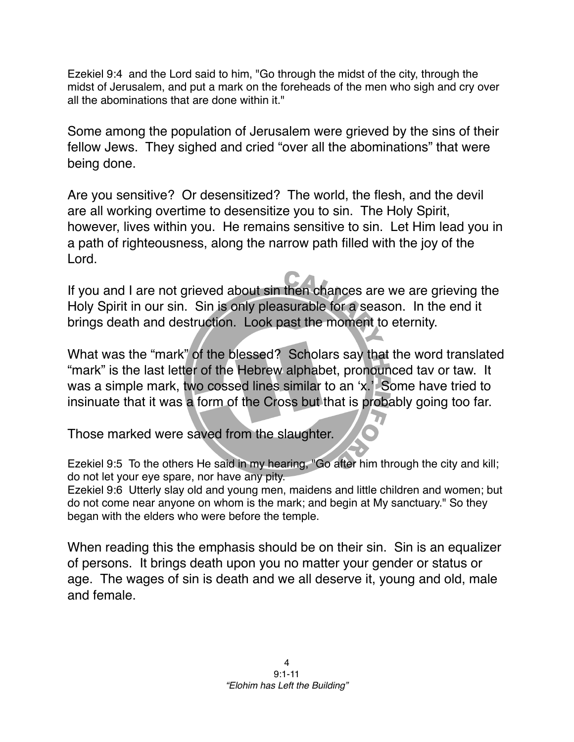Ezekiel 9:4 and the Lord said to him, "Go through the midst of the city, through the midst of Jerusalem, and put a mark on the foreheads of the men who sigh and cry over all the abominations that are done within it."

Some among the population of Jerusalem were grieved by the sins of their fellow Jews. They sighed and cried "over all the abominations" that were being done.

Are you sensitive? Or desensitized? The world, the flesh, and the devil are all working overtime to desensitize you to sin. The Holy Spirit, however, lives within you. He remains sensitive to sin. Let Him lead you in a path of righteousness, along the narrow path filled with the joy of the Lord.

If you and I are not grieved about sin then chances are we are grieving the Holy Spirit in our sin. Sin is only pleasurable for a season. In the end it brings death and destruction. Look past the moment to eternity.

What was the "mark" of the blessed? Scholars say that the word translated "mark" is the last letter of the Hebrew alphabet, pronounced tav or taw. It was a simple mark, two cossed lines similar to an ʻx.' Some have tried to insinuate that it was a form of the Cross but that is probably going too far.

Those marked were saved from the slaughter.

Ezekiel 9:5 To the others He said in my hearing, "Go after him through the city and kill; do not let your eye spare, nor have any pity.

Ezekiel 9:6 Utterly slay old and young men, maidens and little children and women; but do not come near anyone on whom is the mark; and begin at My sanctuary." So they began with the elders who were before the temple.

When reading this the emphasis should be on their sin. Sin is an equalizer of persons. It brings death upon you no matter your gender or status or age. The wages of sin is death and we all deserve it, young and old, male and female.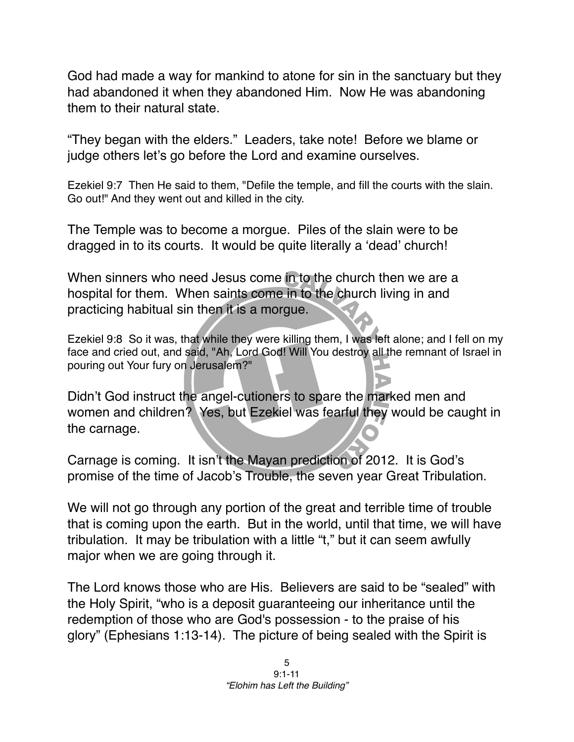God had made a way for mankind to atone for sin in the sanctuary but they had abandoned it when they abandoned Him. Now He was abandoning them to their natural state.

"They began with the elders." Leaders, take note! Before we blame or judge others let's go before the Lord and examine ourselves.

Ezekiel 9:7 Then He said to them, "Defile the temple, and fill the courts with the slain. Go out!" And they went out and killed in the city.

The Temple was to become a morgue. Piles of the slain were to be dragged in to its courts. It would be quite literally a ʻdead' church!

When sinners who need Jesus come in to the church then we are a hospital for them. When saints come in to the church living in and practicing habitual sin then it is a morgue.

Ezekiel 9:8 So it was, that while they were killing them, I was left alone; and I fell on my face and cried out, and said, "Ah, Lord God! Will You destroy all the remnant of Israel in pouring out Your fury on Jerusalem?"

Didn't God instruct the angel-cutioners to spare the marked men and women and children? Yes, but Ezekiel was fearful they would be caught in the carnage.

Carnage is coming. It isn't the Mayan prediction of 2012. It is God's promise of the time of Jacob's Trouble, the seven year Great Tribulation.

We will not go through any portion of the great and terrible time of trouble that is coming upon the earth. But in the world, until that time, we will have tribulation. It may be tribulation with a little "t," but it can seem awfully major when we are going through it.

The Lord knows those who are His. Believers are said to be "sealed" with the Holy Spirit, "who is a deposit guaranteeing our inheritance until the redemption of those who are God's possession - to the praise of his glory" (Ephesians 1:13-14). The picture of being sealed with the Spirit is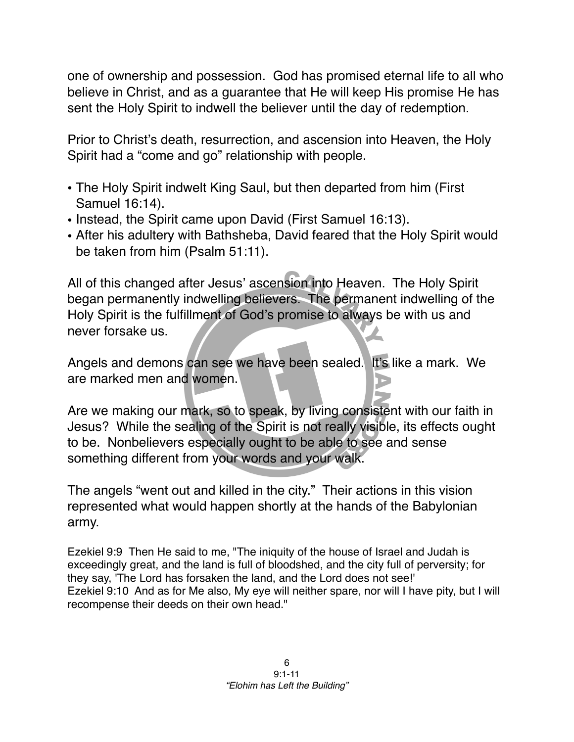one of ownership and possession. God has promised eternal life to all who believe in Christ, and as a guarantee that He will keep His promise He has sent the Holy Spirit to indwell the believer until the day of redemption.

Prior to Christ's death, resurrection, and ascension into Heaven, the Holy Spirit had a "come and go" relationship with people.

- The Holy Spirit indwelt King Saul, but then departed from him (First Samuel 16:14).
- Instead, the Spirit came upon David (First Samuel 16:13).
- After his adultery with Bathsheba, David feared that the Holy Spirit would be taken from him (Psalm 51:11).

All of this changed after Jesus' ascension into Heaven. The Holy Spirit began permanently indwelling believers. The permanent indwelling of the Holy Spirit is the fulfillment of God's promise to always be with us and never forsake us.

Angels and demons can see we have been sealed. It's like a mark. We are marked men and women.

Are we making our mark, so to speak, by living consistent with our faith in Jesus? While the sealing of the Spirit is not really visible, its effects ought to be. Nonbelievers especially ought to be able to see and sense something different from your words and your walk.

The angels "went out and killed in the city." Their actions in this vision represented what would happen shortly at the hands of the Babylonian army.

Ezekiel 9:9 Then He said to me, "The iniquity of the house of Israel and Judah is exceedingly great, and the land is full of bloodshed, and the city full of perversity; for they say, 'The Lord has forsaken the land, and the Lord does not see!' Ezekiel 9:10 And as for Me also, My eye will neither spare, nor will I have pity, but I will recompense their deeds on their own head."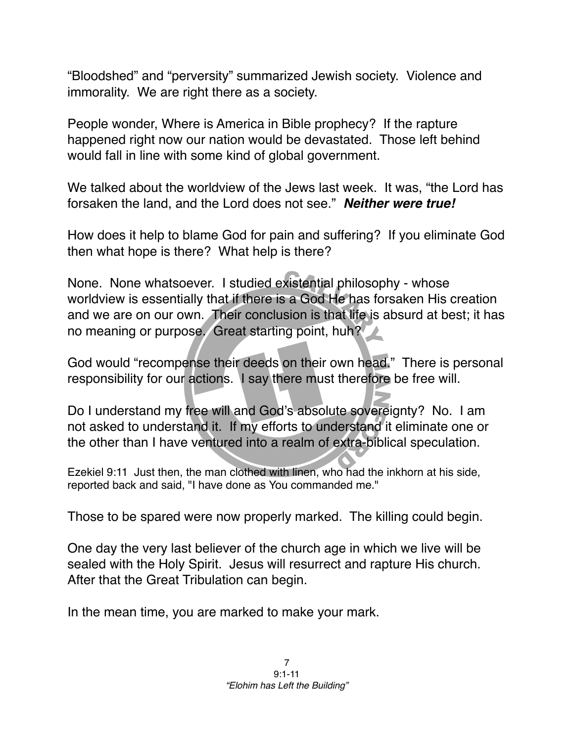"Bloodshed" and "perversity" summarized Jewish society. Violence and immorality. We are right there as a society.

People wonder, Where is America in Bible prophecy? If the rapture happened right now our nation would be devastated. Those left behind would fall in line with some kind of global government.

We talked about the worldview of the Jews last week. It was, "the Lord has forsaken the land, and the Lord does not see." *Neither were true!*

How does it help to blame God for pain and suffering? If you eliminate God then what hope is there? What help is there?

None. None whatsoever. I studied existential philosophy - whose worldview is essentially that if there is a God He has forsaken His creation and we are on our own. Their conclusion is that life is absurd at best; it has no meaning or purpose. Great starting point, huh?

God would "recompense their deeds on their own head." There is personal responsibility for our actions. I say there must therefore be free will.

Do I understand my free will and God's absolute sovereignty? No. I am not asked to understand it. If my efforts to understand it eliminate one or the other than I have ventured into a realm of extra-biblical speculation.

Ezekiel 9:11 Just then, the man clothed with linen, who had the inkhorn at his side, reported back and said, "I have done as You commanded me."

Those to be spared were now properly marked. The killing could begin.

One day the very last believer of the church age in which we live will be sealed with the Holy Spirit. Jesus will resurrect and rapture His church. After that the Great Tribulation can begin.

In the mean time, you are marked to make your mark.